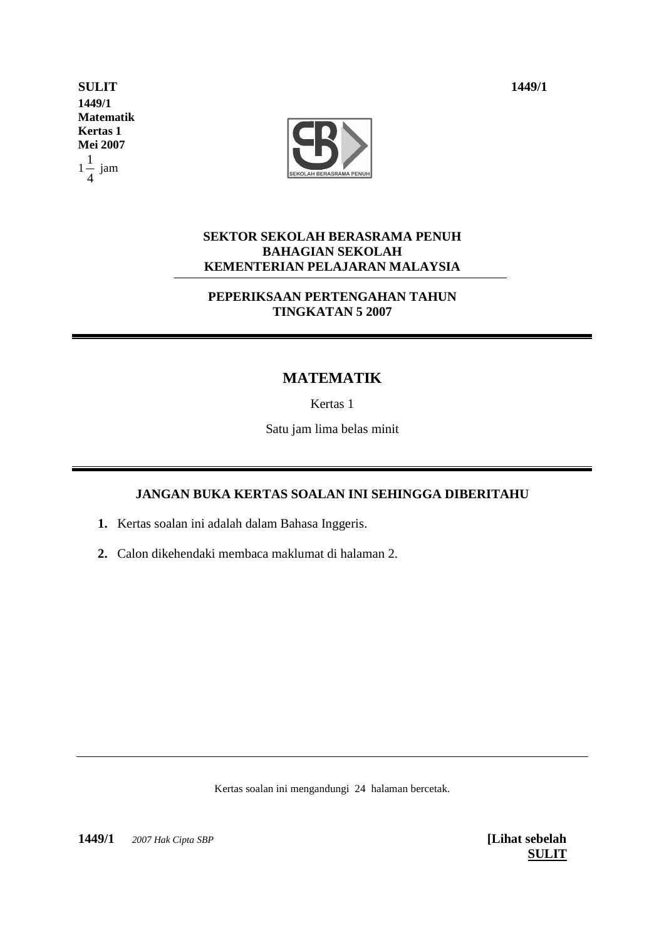**SULIT 1449/1 1449/1 Matematik Kertas 1 Mei 2007** 1 4  $\frac{1}{1}$  jam



## **SEKTOR SEKOLAH BERASRAMA PENUH BAHAGIAN SEKOLAH KEMENTERIAN PELAJARAN MALAYSIA**

## **PEPERIKSAAN PERTENGAHAN TAHUN TINGKATAN 5 2007**

## **MATEMATIK**

Kertas 1

Satu jam lima belas minit

## **JANGAN BUKA KERTAS SOALAN INI SEHINGGA DIBERITAHU**

- **1.** Kertas soalan ini adalah dalam Bahasa Inggeris.
- **2.** Calon dikehendaki membaca maklumat di halaman 2.

Kertas soalan ini mengandungi 24 halaman bercetak.

**1449/1**  *2007 Hak Cipta SBP* **[Lihat sebelah**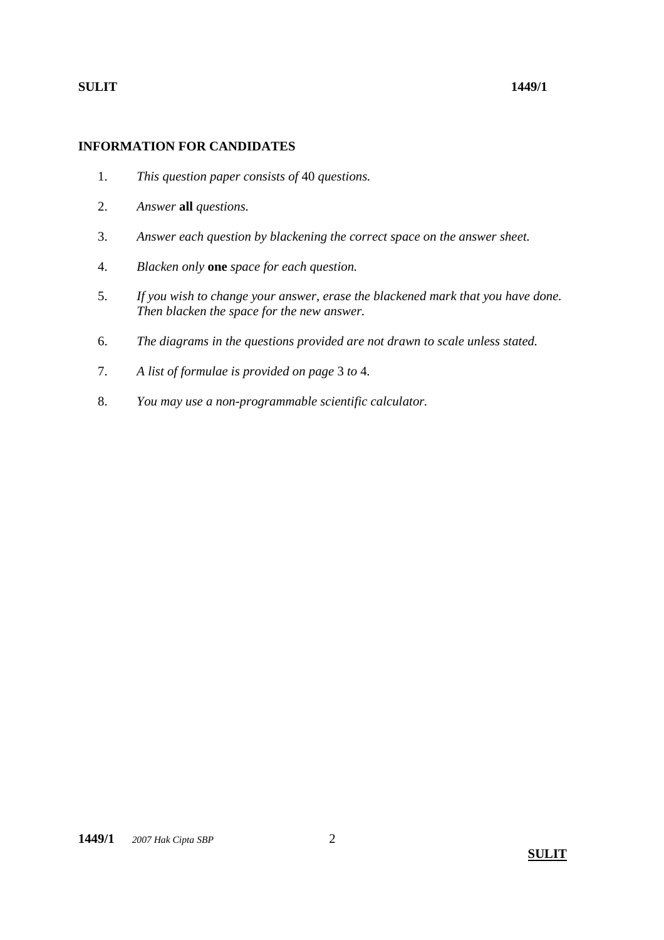## **INFORMATION FOR CANDIDATES**

- 1. *This question paper consists of* 40 *questions.*
- 2. *Answer* **all** *questions.*
- 3. *Answer each question by blackening the correct space on the answer sheet.*
- 4. *Blacken only* **one** *space for each question.*
- 5. *If you wish to change your answer, erase the blackened mark that you have done. Then blacken the space for the new answer.*
- 6. *The diagrams in the questions provided are not drawn to scale unless stated.*
- 7. *A list of formulae is provided on page* 3 *to* 4*.*
- 8. *You may use a non-programmable scientific calculator.*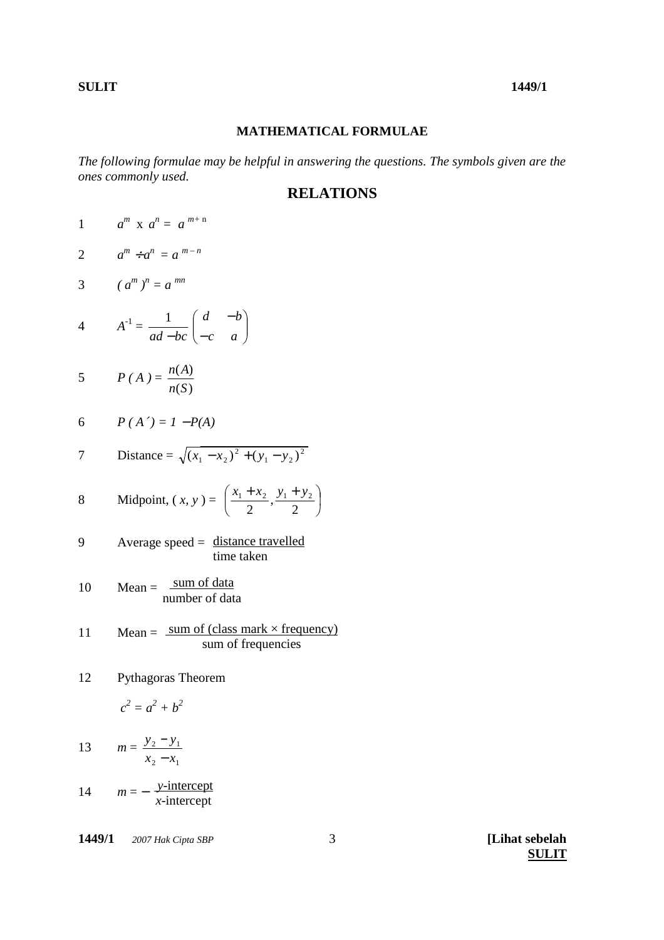## **MATHEMATICAL FORMULAE**

*The following formulae may be helpful in answering the questions. The symbols given are the ones commonly used.* 

## **RELATIONS**

1  $a^m$  x  $a^n = a^{m+n}$ 

$$
2 \qquad a^m \div a^n = a^{m-n}
$$

$$
3 \qquad (a^m)^n = a^{mn}
$$

$$
A^{-1} = \frac{1}{ad - bc} \begin{pmatrix} d & -b \\ -c & a \end{pmatrix}
$$

$$
5 \qquad P(A) = \frac{n(A)}{n(S)}
$$

$$
6 \qquad P(A') = I - P(A)
$$

7 Distance = 
$$
\sqrt{(x_1 - x_2)^2 + (y_1 - y_2)^2}
$$

8 Midpoint, 
$$
(x, y) = \left(\frac{x_1 + x_2}{2}, \frac{y_1 + y_2}{2}\right)
$$

$$
9 \qquad \text{Average speed} = \frac{\text{distance travelled}}{\text{time taken}}
$$

$$
10 \qquad \text{Mean} = \frac{\text{sum of data}}{\text{number of data}}
$$

$$
11 \tMean = \frac{sum\ of\ (class\ mark \times frequency)}{sum\ of\ frequencies}
$$

12 Pythagoras Theorem

$$
c^2 = a^2 + b^2
$$

13 
$$
m = \frac{y_2 - y_1}{x_2 - x_1}
$$

14  $m = -\frac{y\text{-intercept}}{y\text{-intercept}}$ *x*-intercept

**1449/1**  *2007 Hak Cipta SBP* **[Lihat sebelah**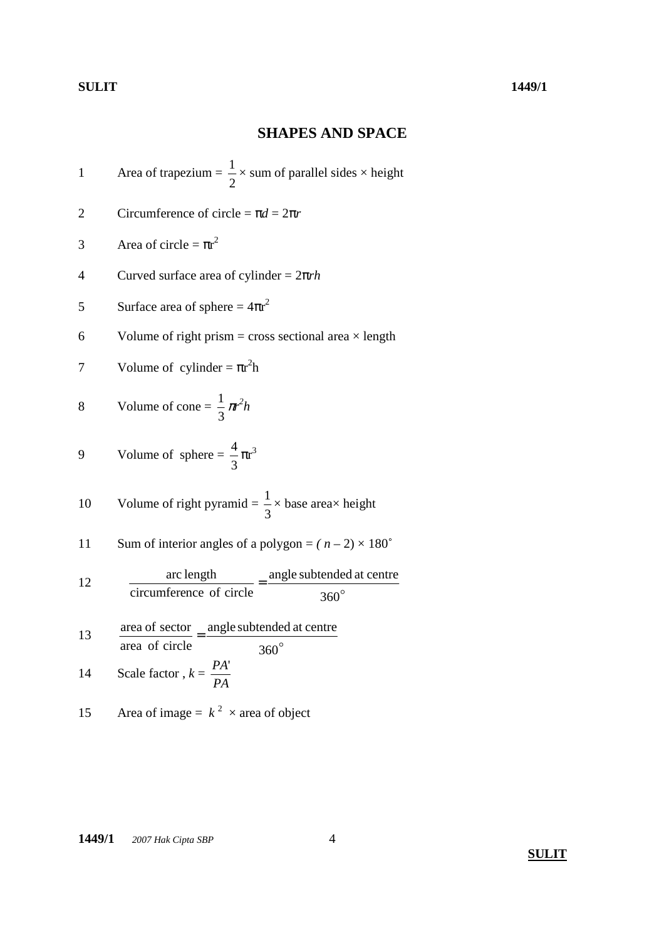# **SHAPES AND SPACE**

Area of trapezium = 
$$
\frac{1}{2}
$$
 × sum of parallel sides × height

2 Circumference of circle = 
$$
\pi d = 2\pi r
$$

$$
3 \qquad \text{Area of circle} = \pi r^2
$$

4 Curved surface area of cylinder = 
$$
2\pi rh
$$

5 Surface area of sphere = 
$$
4\pi r^2
$$

6 Volume of right prism = cross sectional area  $\times$  length

7 Volume of cylinder = 
$$
\pi r^2 h
$$

$$
8 \qquad \text{Volume of cone} = \frac{1}{3} \pi^2 h
$$

$$
9 \tVolume of sphere = \frac{4}{3}\pi r^3
$$

10 Volume of right pyramid = 
$$
\frac{1}{3}
$$
 × base area × height

11 Sum of interior angles of a polygon = 
$$
(n-2) \times 180^{\circ}
$$

12 
$$
\frac{\text{arc length}}{\text{circumference of circle}} = \frac{\text{angle subtended at centre}}{360^{\circ}}
$$

13 
$$
\frac{\text{area of sector}}{\text{area of circle}} = \frac{\text{angle subtended at centre}}{360^{\circ}}
$$

14 Scale factor, 
$$
k = \frac{PA}{PA}
$$

15 Area of image = 
$$
k^2
$$
 × area of object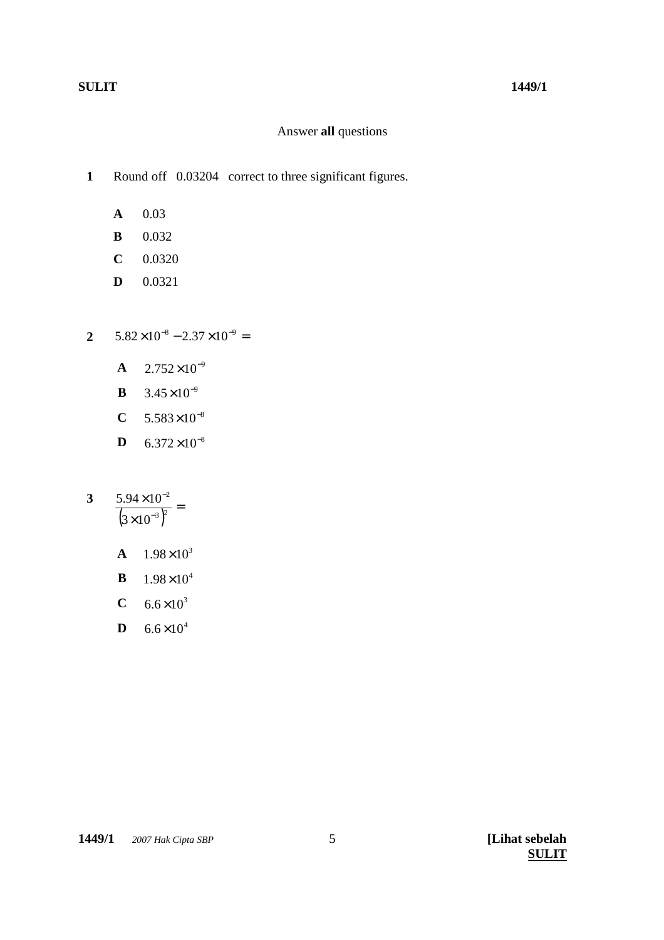## Answer **all** questions

Round off 0.03204 correct to three significant figures. **1**

- **A** 0.03
- **B** 0.032
- **C** 0.0320
- **D** 0.0321
- $5.82\times10^{-8} 2.37\times10^{-9} =$ **2**
	- **A**  $2.752 \times 10^{-9}$
	- **B**  $3.45 \times 10^{-9}$
	- $C = 5.583 \times 10^{-8}$
	- **D**  $6.372 \times 10^{-8}$
- $\frac{(3\times10^{-3})^2}{(3\times10^{-3})^2} =$ × − − 3 P 2  $3 \times 10$  $5.94 \times 10$ **3**
	- **A**  $1.98 \times 10^3$
	- **B**  $1.98 \times 10^4$
	- **C**  $6.6 \times 10^3$
	- **D**  $6.6 \times 10^4$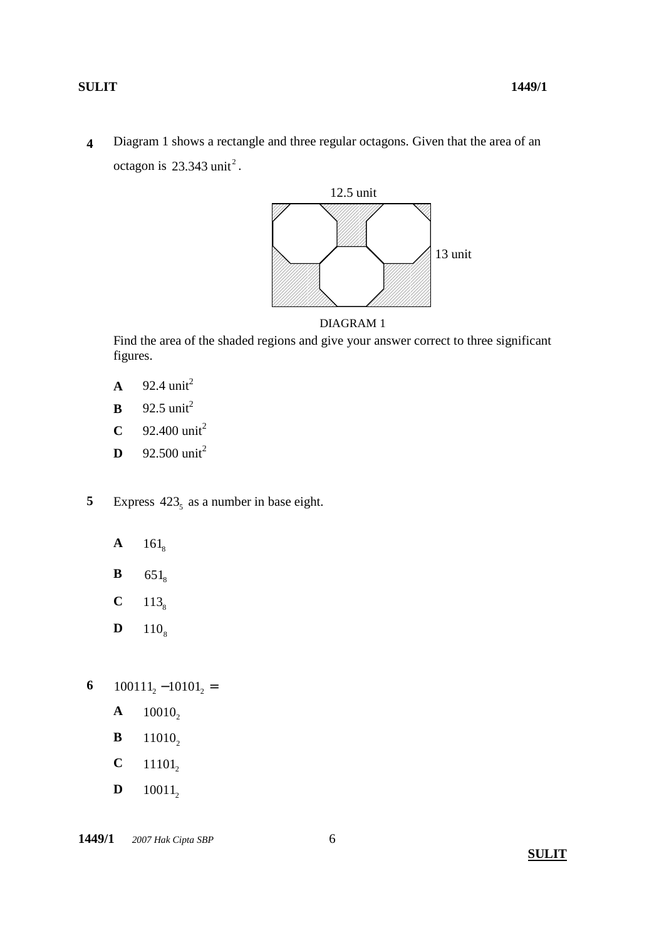Diagram 1 shows a rectangle and three regular octagons. Given that the area of an octagon is  $23.343$  unit<sup>2</sup>. **4**



DIAGRAM 1

Find the area of the shaded regions and give your answer correct to three significant figures.

- $A = 92.4 \text{ unit}^2$
- **B**  $92.5 \text{ unit}^2$
- **C**  $92.400 \text{ unit}^2$
- **D**  $92.500 \text{ unit}^2$
- Express  $423<sub>5</sub>$  as a number in base eight. **5**
	- **A**  $161_8$
	- **B**  $651_8$
	- **C**  $113_8$
	- **D**  $110_8$
- $100111_2 10101_2 =$ **6**
	- **A**  $10010_2$
	- **B**  $11010_2$
	- **C**  $11101_2$
	- **D**  $10011_2$

**1449/1**  $\oslash$  2007 Hak Cipta SBP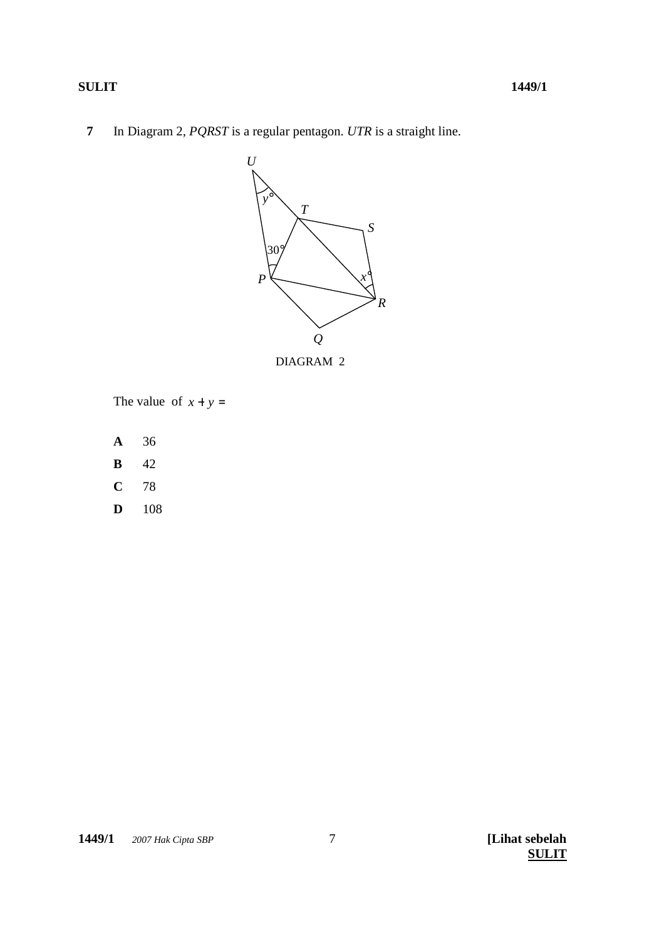## **SULIT**

 $\overline{7}$ In Diagram 2, PQRST is a regular pentagon. UTR is a straight line.



The value of  $x + y =$ 

- $\mathbf{A}$ 36
- 42  $\, {\bf B}$
- $\mathbf C$ 78
- $\mathbf{D}$ 108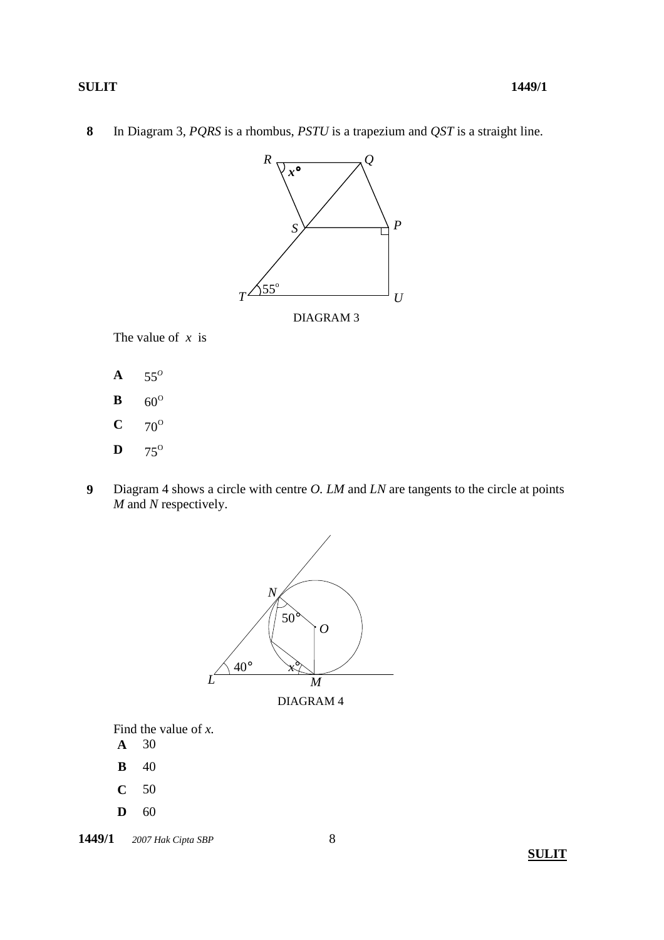In Diagram 3, *PQRS* is a rhombus, *PSTU* is a trapezium and *QST* is a straight line. **8**



The value of *x* is

- $A = 55^{\circ}$
- **B**  $60^{\circ}$
- $C \t 70^{\circ}$
- $\mathbf{D}$  75<sup>o</sup>
- Diagram 4 shows a circle with centre *O. LM* and *LN* are tangents to the circle at points *M* and *N* respectively. **9**



DIAGRAM 4

Find the value of *x.* 

- **A** 30
- **B** 40
- **C** 50
- **D** 60

**1449/1**  $\oslash$  2007 Hak Cipta SBP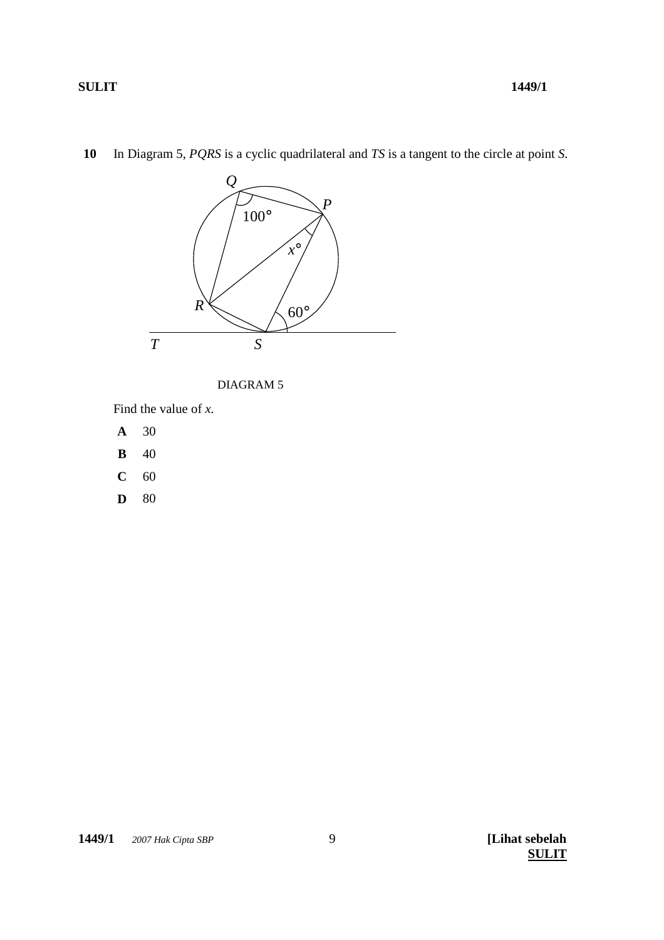

 $10$ In Diagram 5,  $PQRS$  is a cyclic quadrilateral and  $TS$  is a tangent to the circle at point  $S$ .



Find the value of  $x$ .

- $\mathbf A$  $30\,$
- $\, {\bf B}$ 40
- $\mathbf{C}$ 60
- 80  $\mathbf{D}$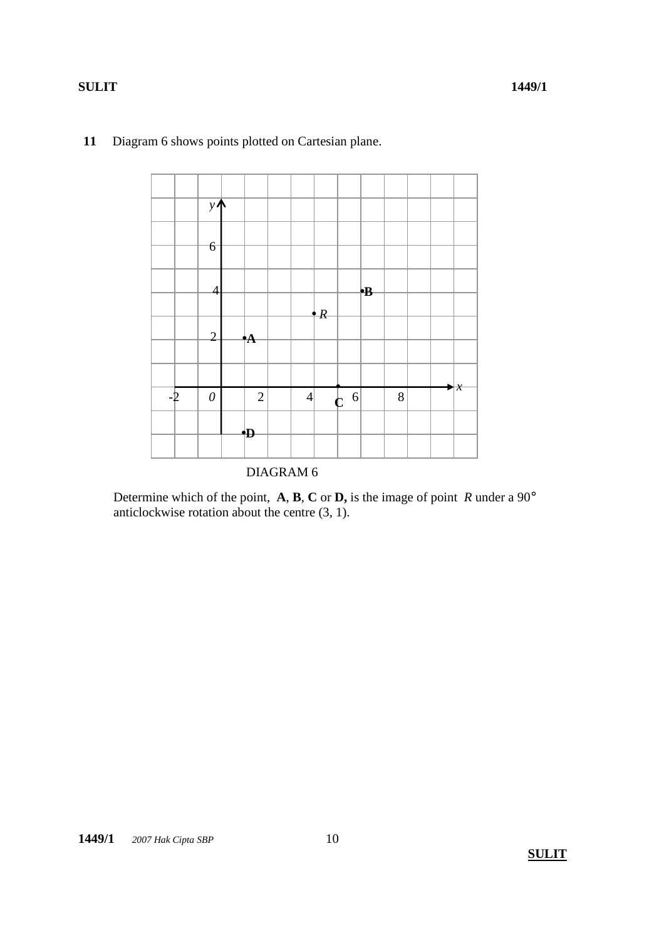

## **11** Diagram 6 shows points plotted on Cartesian plane.

Determine which of the point, **A**, **B**, **C** or **D,** is the image of point *R* under a 90° anticlockwise rotation about the centre (3, 1).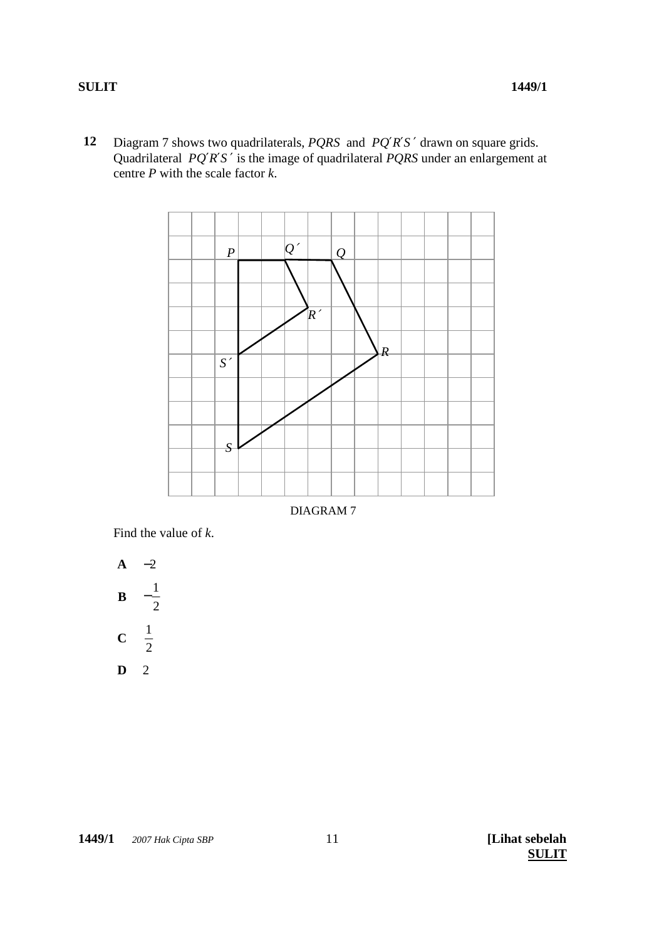Diagram 7 shows two quadrilaterals, *PQRS* and *PQ*′*R*′*S* ′ drawn on square grids. Quadrilateral *PQ*′*R*′*S* ′ is the image of quadrilateral *PQRS* under an enlargement at centre *P* with the scale factor *k*. **12**



DIAGRAM 7

Find the value of *k*.

**A** -2  
\n**B** 
$$
-\frac{1}{2}
$$
  
\n**C**  $\frac{1}{2}$   
\n**D** 2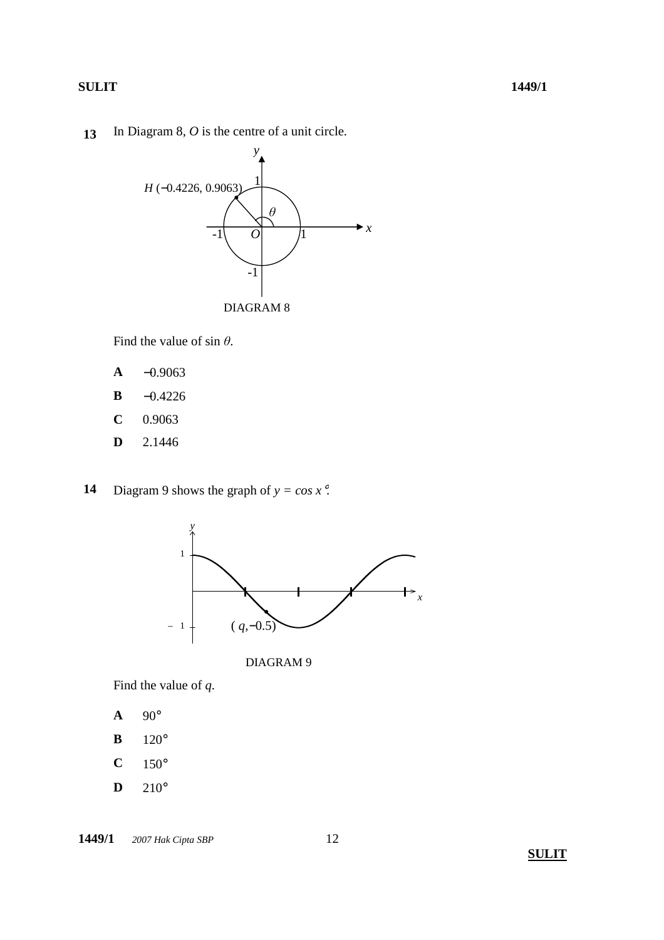In Diagram 8, *O* is the centre of a unit circle. **13**



Find the value of sin *θ*.

- **A** −0.9063
- **B** −0.4226
- **C** 0.9063
- **D** 2.1446
- Diagram 9 shows the graph of  $y = cos x$ <sup>°</sup>. **14**





Find the value of *q*.

- **A** 90°
- **B** 120°
- $C \t150^\circ$
- **D** 210°

**1449/1**  $\oslash$  2007 Hak Cipta SBP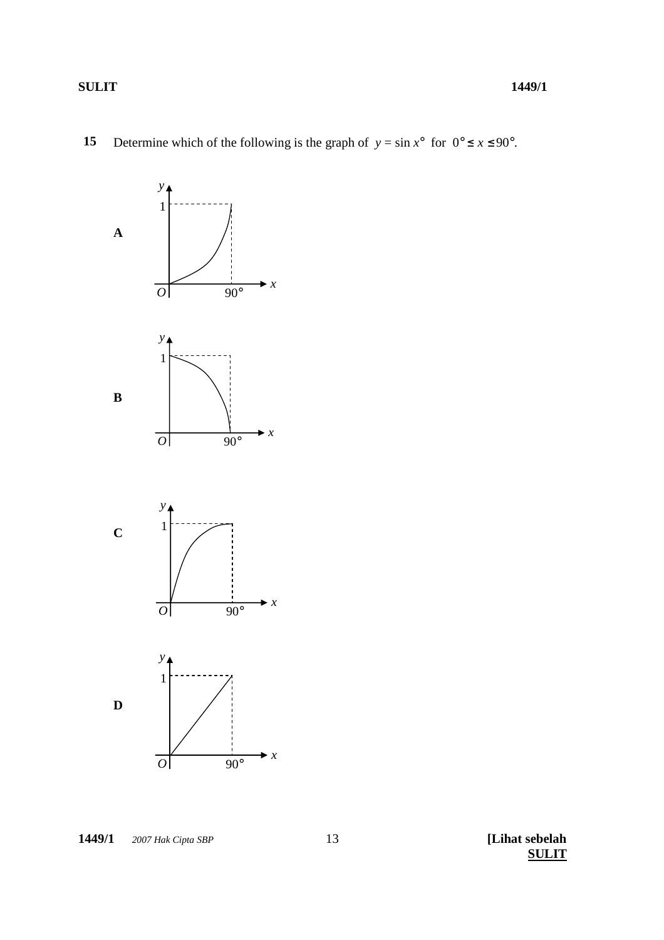



1449/1 © 2007 Hak Cipta SBP

[Lihat sebelah **SULIT**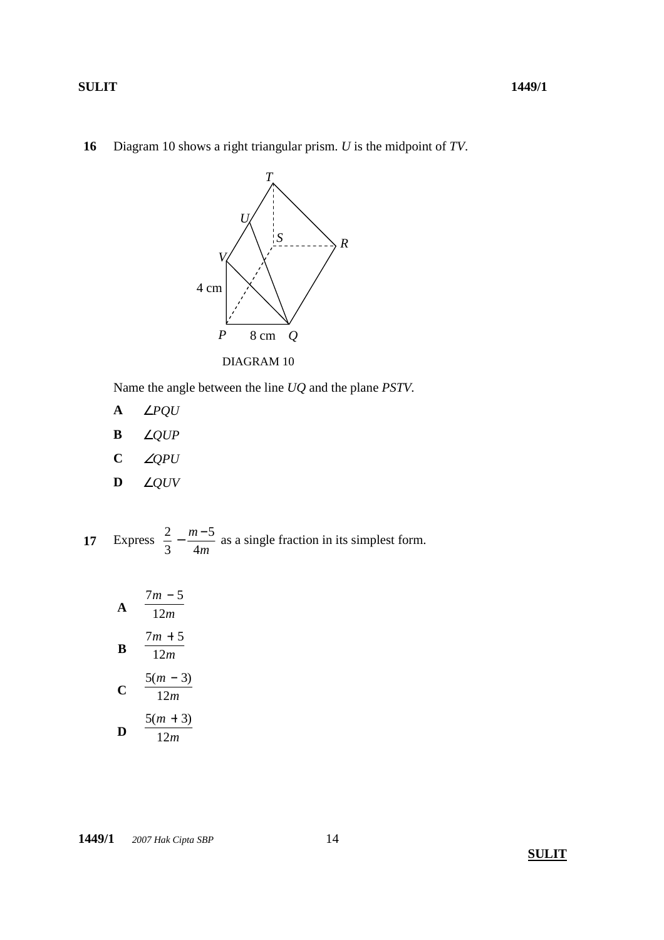Diagram 10 shows a right triangular prism. *U* is the midpoint of *TV*. **16**



Name the angle between the line *UQ* and the plane *PSTV.*

- **A** ∠*PQU*
- **B** ∠*QUP*
- **C** ∠*QPU*
- **D** ∠*QUV*

Express *m m* 4 5 3 17 Express  $\frac{2}{3} - \frac{m-5}{4}$  as a single fraction in its simplest form.

**A** 
$$
\frac{7m-5}{12m}
$$
  
\n**B** 
$$
\frac{7m+5}{12m}
$$
  
\n**C** 
$$
\frac{5(m-3)}{12m}
$$
  
\n**D** 
$$
\frac{5(m+3)}{12m}
$$

**1449/1**  $\oslash$  2007 Hak Cipta SBP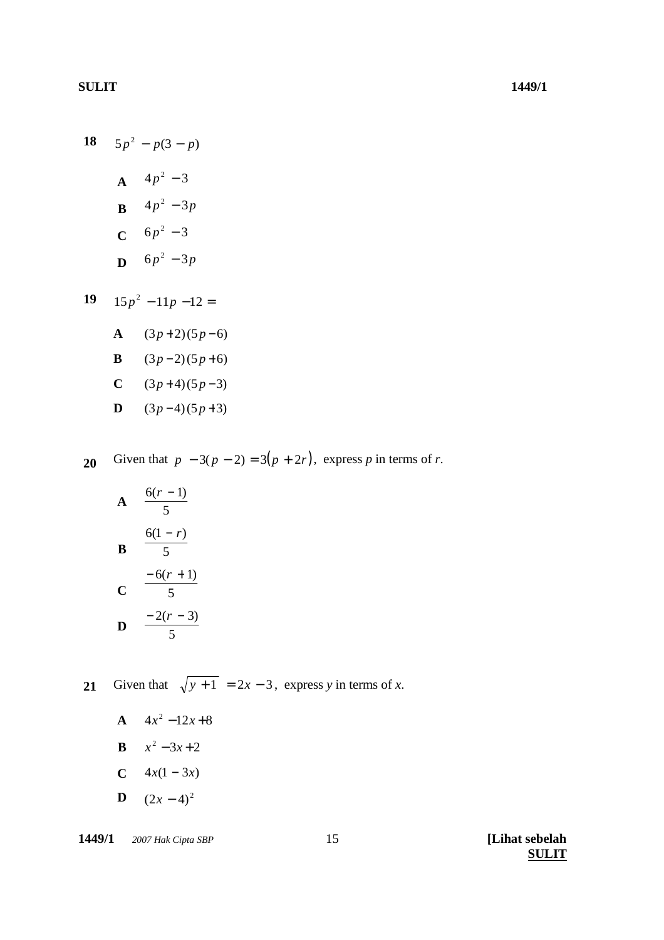18  $5p^2 - p(3-p)$ **A**  $4p^2 - 3$ **B**  $4p^2 - 3p$  $C$  6*p*<sup>2</sup> – 3 **D**  $6p^2 - 3p$ 

19 
$$
15p^2 - 11p - 12 =
$$
  
A  $(3p+2)(5p-6)$   
B  $(3p-2)(5p+6)$ 

**C**  $(3p+4)(5p-3)$ 

$$
D \qquad (3p-4)(5p+3)
$$

Given that  $p - 3(p - 2) = 3(p + 2r)$ , express *p* in terms of *r*. **20**

**A** 
$$
\frac{6(r-1)}{5}
$$
  
\n**B** 
$$
\frac{6(1-r)}{5}
$$
  
\n**C** 
$$
\frac{-6(r+1)}{5}
$$
  
\n**D** 
$$
\frac{-2(r-3)}{5}
$$

Given that  $\sqrt{y+1} = 2x - 3$ , express *y* in terms of *x*. **21**

- **A**  $4x^2 12x + 8$
- **B**  $x^2 3x + 2$
- **C**  $4x(1-3x)$
- **D**  $(2x-4)^2$

**1449/1**  *2007 Hak Cipta SBP* **[Lihat sebelah**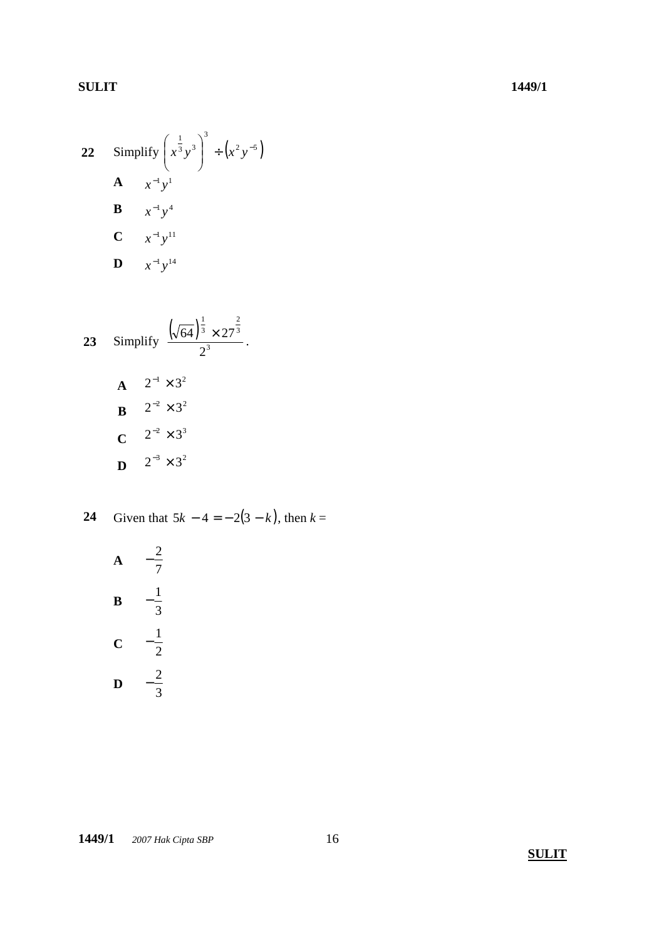22 Simplify 
$$
\left(x^{\frac{1}{3}}y^3\right)^3 \div \left(x^2y^{-5}\right)
$$
  
\n**A**  $x^{-1}y^1$   
\n**B**  $x^{-1}y^4$   
\n**C**  $x^{-1}y^{11}$   
\n**D**  $x^{-1}y^{14}$ 

23 Simplify 
$$
\frac{(\sqrt{64})^{\frac{1}{3}} \times 27^{\frac{2}{3}}}{2^3}
$$
.  
\n**A**  $2^{-1} \times 3^2$   
\n**B**  $2^{-2} \times 3^2$   
\n**C**  $2^{-2} \times 3^3$   
\n**D**  $2^{-3} \times 3^2$ 

Given that  $5k - 4 = -2(3 - k)$ , then  $k =$  $24$ 

**A** 
$$
-\frac{2}{7}
$$
  
\n**B**  $-\frac{1}{3}$   
\n**C**  $-\frac{1}{2}$   
\n**D**  $-\frac{2}{3}$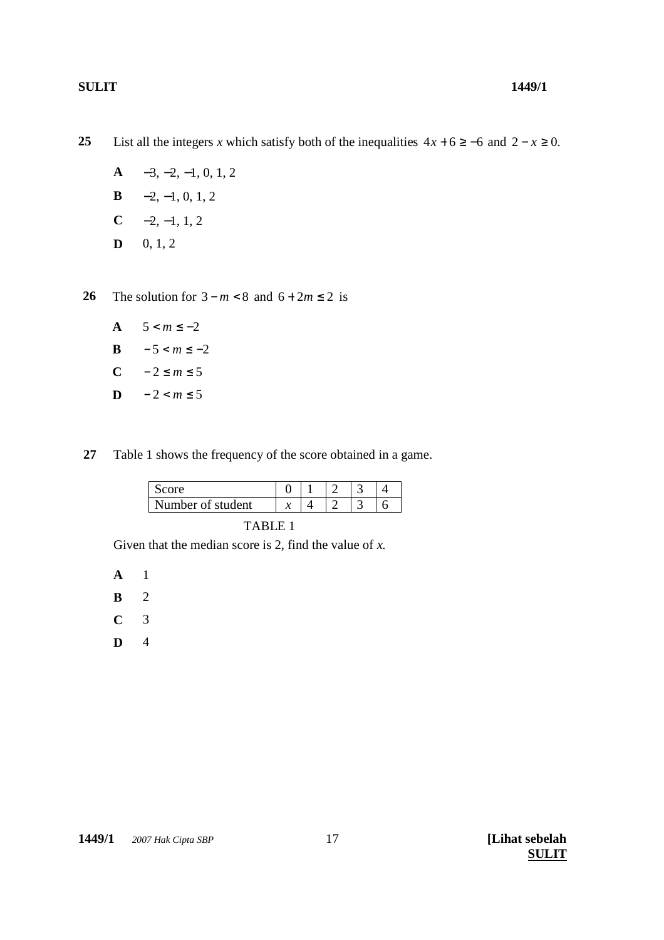List all the integers *x* which satisfy both of the inequalities  $4x + 6 \ge -6$  and  $2 - x \ge 0$ . **25**

- **A** −3, −2, −1, 0, 1, 2
- **B**  $-2, -1, 0, 1, 2$
- $C \t -2, -1, 1, 2$
- $D = 0, 1, 2$

The solution for  $3 - m < 8$  and  $6 + 2m \le 2$  is **26**

- **A**  $5 < m \le -2$
- **B**  $-5 < m \le -2$
- C  $-2 \le m \le 5$
- **D**  $-2 < m ≤ 5$

Table 1 shows the frequency of the score obtained in a game. **27**

| Number of student |  |  |  |
|-------------------|--|--|--|

TABLE 1

Given that the median score is 2, find the value of *x*.

**A** 1

- **B** 2
- **C** 3
- **D** 4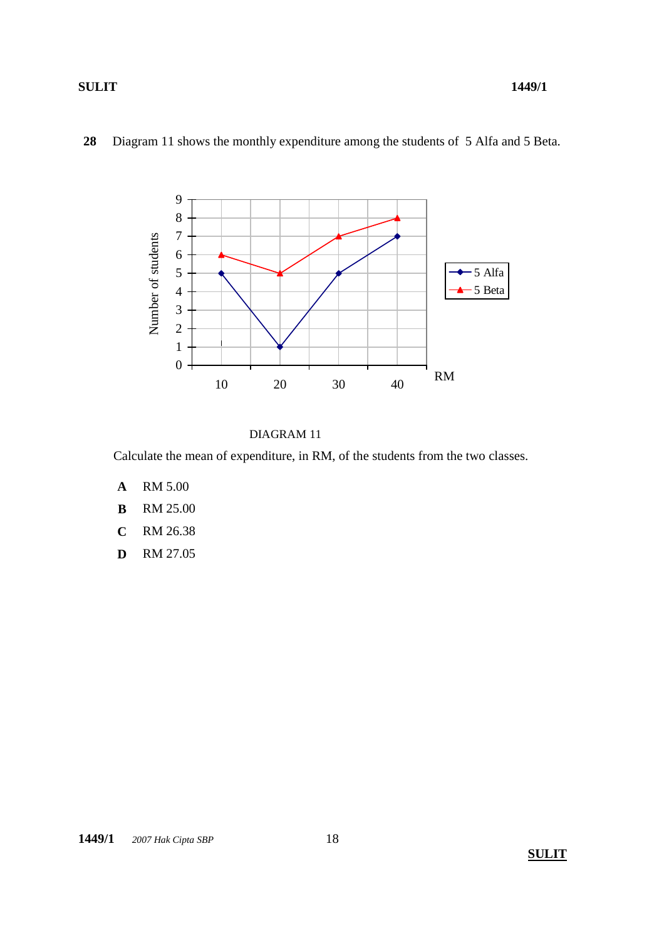



## DIAGRAM 11

Calculate the mean of expenditure, in RM, of the students from the two classes.

- **A** RM 5.00
- **B** RM 25.00
- **C** RM 26.38
- **D** RM 27.05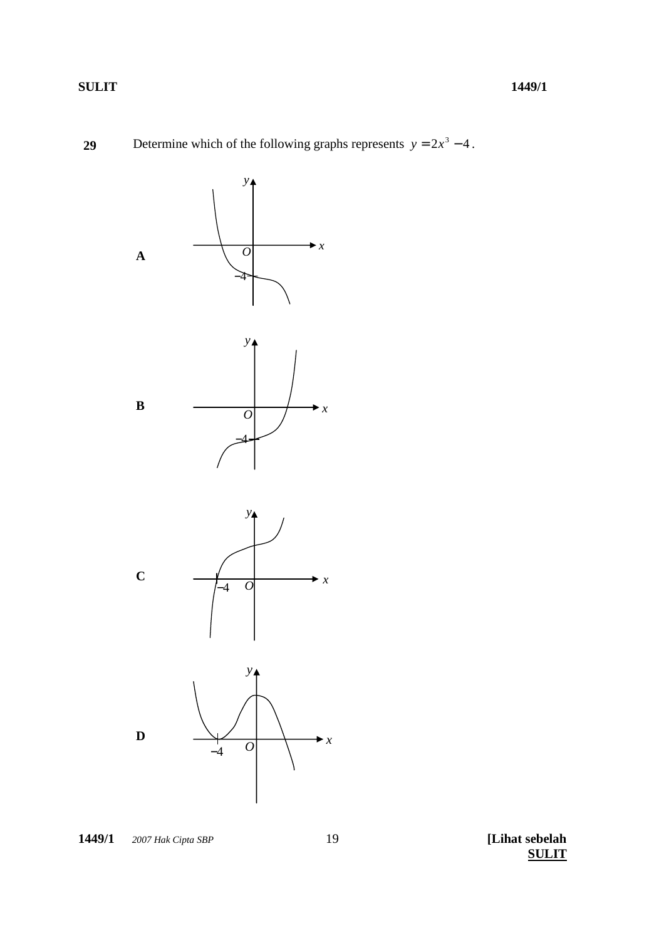



1449/1 © 2007 Hak Cipta SBP

[Lihat sebelah **SULIT**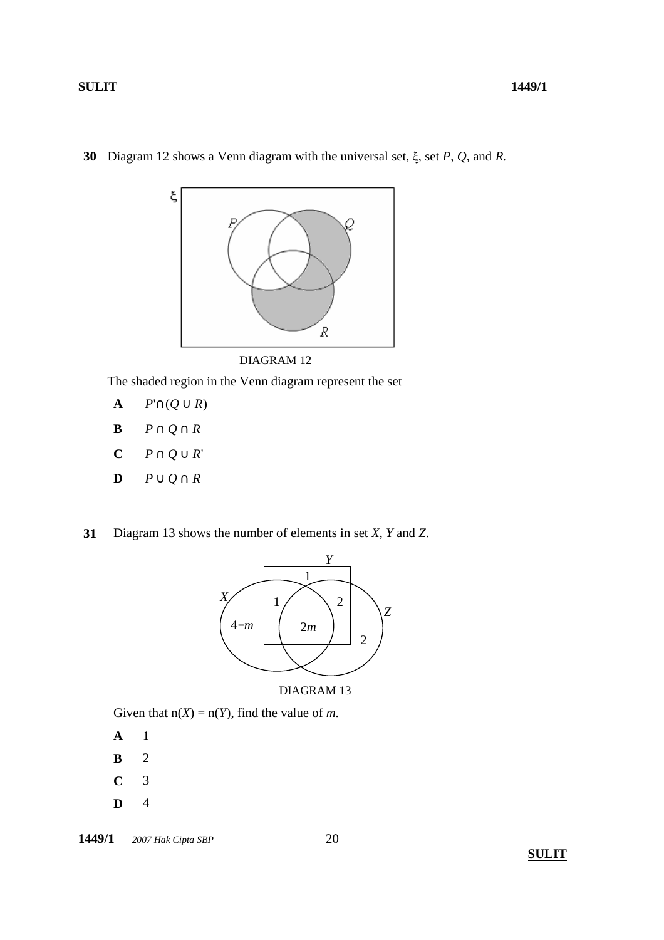

Diagram 12 shows a Venn diagram with the universal set, ξ, set *P*, *Q*, and *R.* **30**

The shaded region in the Venn diagram represent the set

- **A**  $P' \cap (Q \cup R)$
- **B** *P* ∩ *Q* ∩ *R*
- **C** *P* ∩ *Q* ∪ *R*'
- **D** *P* ∪ *Q* ∩ *R*
- Diagram 13 shows the number of elements in set *X*, *Y* and *Z*. **31**



## DIAGRAM 13

Given that  $n(X) = n(Y)$ , find the value of *m*.

- **A** 1
- **B** 2
- **C** 3
- **D** 4

**1449/1**  $\oslash$  2007 Hak Cipta SBP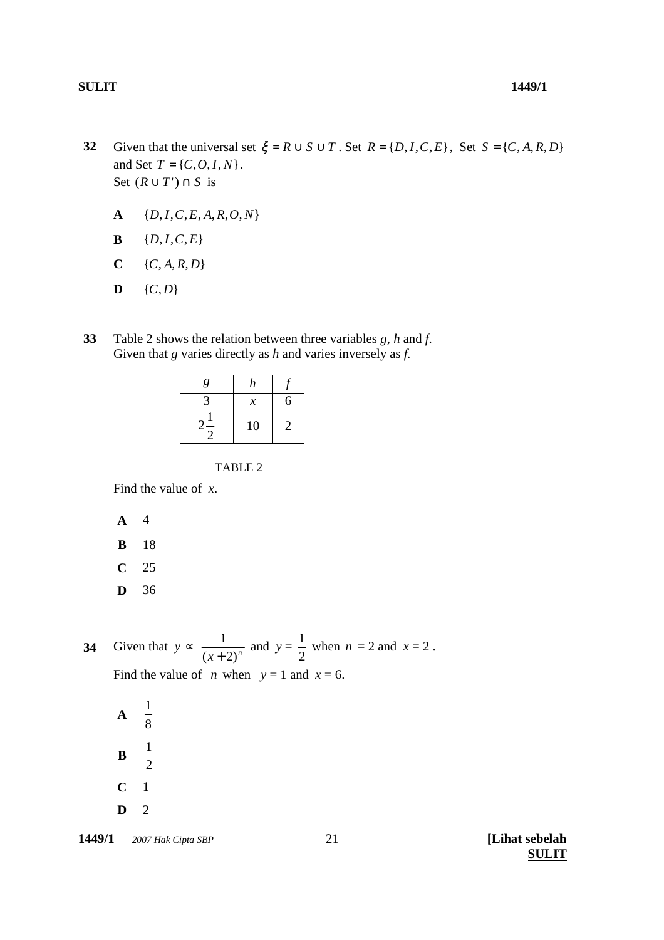- $A \{D, I, C, E, A, R, O, N\}$
- **B**  ${D, I, C, E}$
- $C \{C, A, R, D\}$
- $D \{C,D\}$
- Table 2 shows the relation between three variables *g*, *h* and *f*. Given that *g* varies directly as *h* and varies inversely as *f.* **33**

| g | n  |   |
|---|----|---|
|   | x  | ↰ |
|   | 10 | 2 |

TABLE 2

Find the value of *x*.

- **A** 4
- **B** 18
- **C** 25
- **D** 36

Given that  $y \propto \frac{1}{(x+2)^n}$ 1 + and  $y =$ 2  $\frac{1}{2}$  when *n* = 2 and *x* = 2. Find the value of *n* when  $y = 1$  and  $x = 6$ . **34**

**A**  8 1 **B**  2 1 **C** 1 **D** 2

**1449/1**  *2007 Hak Cipta SBP* **[Lihat sebelah**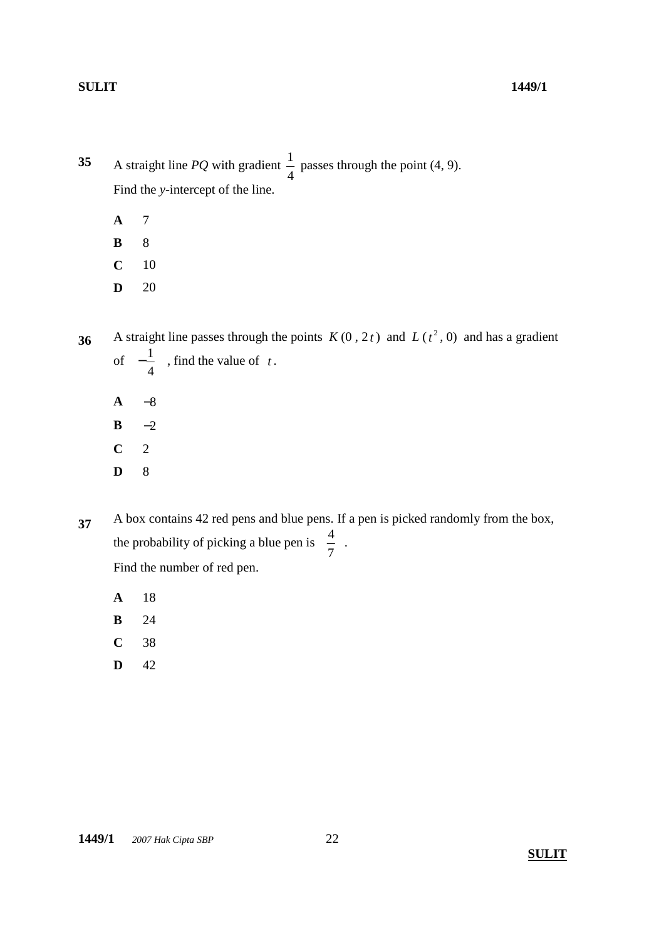A straight line *PQ* with gradient 4  $\frac{1}{1}$  passes through the point (4, 9). Find the *y-*intercept of the line. **35**

- **A** 7
- **B** 8
- **C** 10
- **D** 20
- A straight line passes through the points  $K(0, 2t)$  and  $L(t^2, 0)$  and has a gradient of − 4  $\frac{1}{t}$ , find the value of *t*. **36**
	- **A** −8
	- **B** −2
	- **C** 2
	- **D** 8
- A box contains 42 red pens and blue pens. If a pen is picked randomly from the box, the probability of picking a blue pen is 7  $\frac{4}{7}$ . Find the number of red pen. **37**
	- **A** 18
	- **B** 24
	- **C** 38
	- **D** 42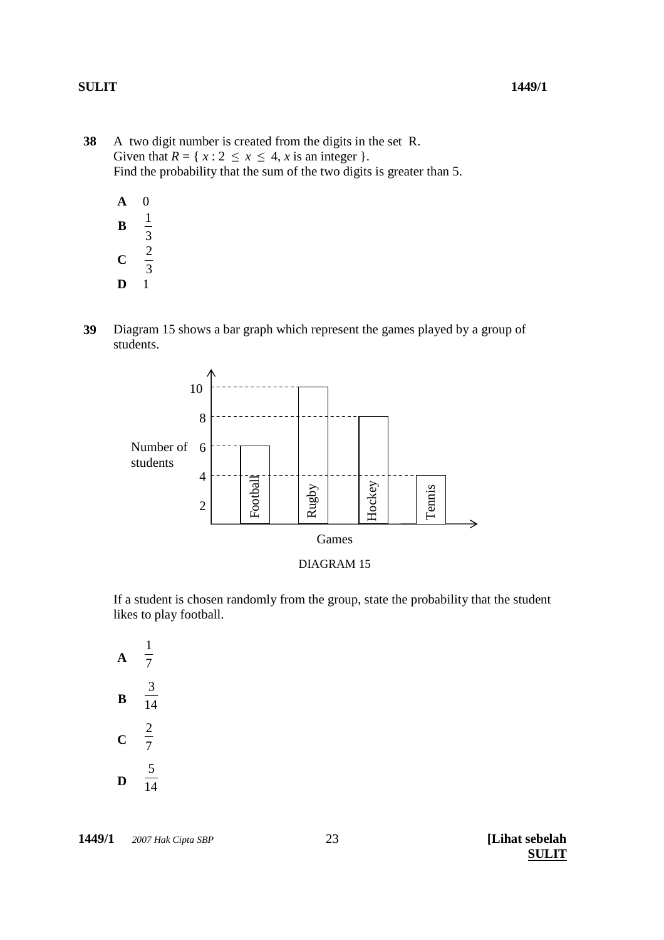A two digit number is created from the digits in the set R. Given that  $R = \{ x : 2 \le x \le 4, x \text{ is an integer } \}.$ Find the probability that the sum of the two digits is greater than 5. **38**

| A           | 0 |
|-------------|---|
| В           | 1 |
|             | 3 |
| $\mathbf C$ | 2 |
|             | 3 |
| D           | 1 |

Diagram 15 shows a bar graph which represent the games played by a group of students. **39**





If a student is chosen randomly from the group, state the probability that the student likes to play football.

**A**  $\overline{7}$ 1  $\overline{\mathbf{B}}$   $\overline{14}$ 3 **<sup>C</sup>**<sup>7</sup>  $rac{2}{7}$  $\overline{\mathbf{D}}$   $\overline{14}$ 5

**1449/1**  *2007 Hak Cipta SBP* **[Lihat sebelah**